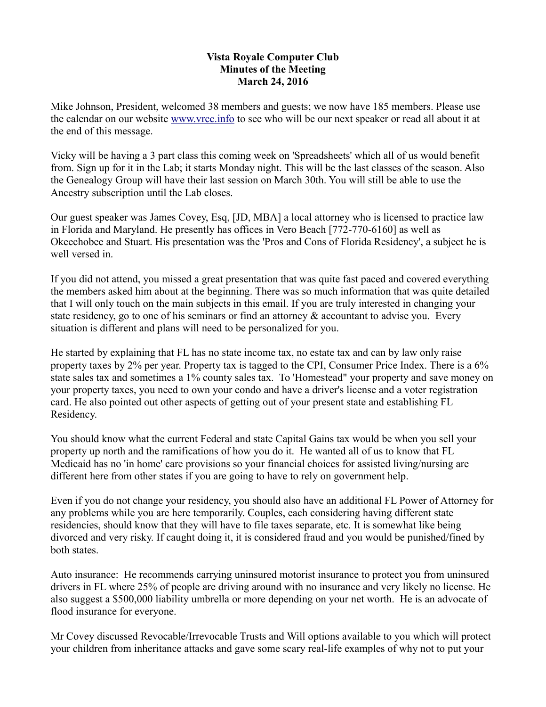## **Vista Royale Computer Club Minutes of the Meeting March 24, 2016**

Mike Johnson, President, welcomed 38 members and guests; we now have 185 members. Please use the calendar on our website [www.vrcc.info](http://www.vrcc.info/) to see who will be our next speaker or read all about it at the end of this message.

Vicky will be having a 3 part class this coming week on 'Spreadsheets' which all of us would benefit from. Sign up for it in the Lab; it starts Monday night. This will be the last classes of the season. Also the Genealogy Group will have their last session on March 30th. You will still be able to use the Ancestry subscription until the Lab closes.

Our guest speaker was James Covey, Esq, [JD, MBA] a local attorney who is licensed to practice law in Florida and Maryland. He presently has offices in Vero Beach [772-770-6160] as well as Okeechobee and Stuart. His presentation was the 'Pros and Cons of Florida Residency', a subject he is well versed in.

If you did not attend, you missed a great presentation that was quite fast paced and covered everything the members asked him about at the beginning. There was so much information that was quite detailed that I will only touch on the main subjects in this email. If you are truly interested in changing your state residency, go to one of his seminars or find an attorney & accountant to advise you. Every situation is different and plans will need to be personalized for you.

He started by explaining that FL has no state income tax, no estate tax and can by law only raise property taxes by 2% per year. Property tax is tagged to the CPI, Consumer Price Index. There is a 6% state sales tax and sometimes a 1% county sales tax. To 'Homestead" your property and save money on your property taxes, you need to own your condo and have a driver's license and a voter registration card. He also pointed out other aspects of getting out of your present state and establishing FL Residency.

You should know what the current Federal and state Capital Gains tax would be when you sell your property up north and the ramifications of how you do it. He wanted all of us to know that FL Medicaid has no 'in home' care provisions so your financial choices for assisted living/nursing are different here from other states if you are going to have to rely on government help.

Even if you do not change your residency, you should also have an additional FL Power of Attorney for any problems while you are here temporarily. Couples, each considering having different state residencies, should know that they will have to file taxes separate, etc. It is somewhat like being divorced and very risky. If caught doing it, it is considered fraud and you would be punished/fined by both states.

Auto insurance: He recommends carrying uninsured motorist insurance to protect you from uninsured drivers in FL where 25% of people are driving around with no insurance and very likely no license. He also suggest a \$500,000 liability umbrella or more depending on your net worth. He is an advocate of flood insurance for everyone.

Mr Covey discussed Revocable/Irrevocable Trusts and Will options available to you which will protect your children from inheritance attacks and gave some scary real-life examples of why not to put your